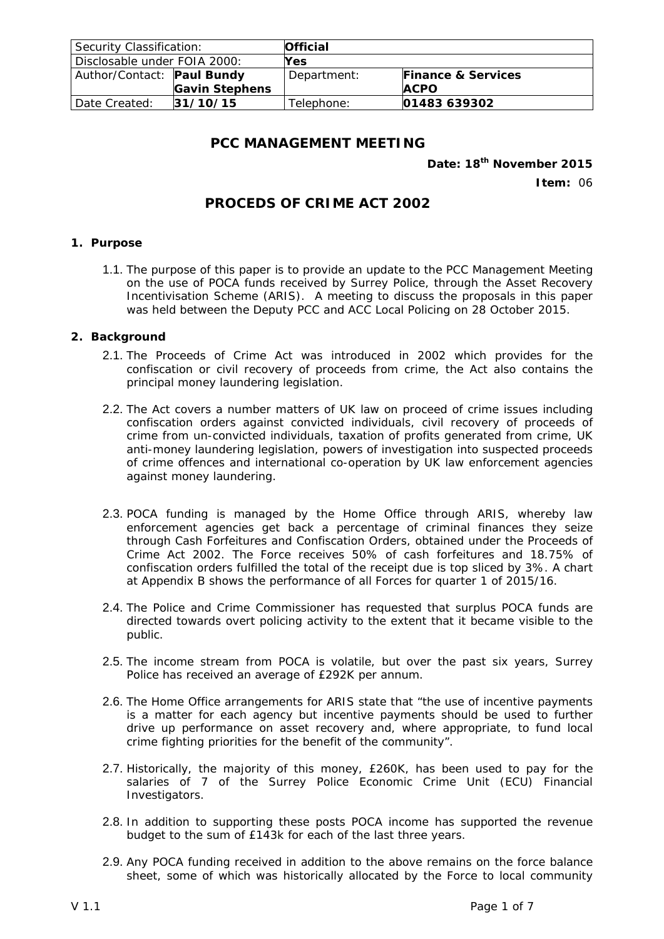| Security Classification:     |                       | <b>Official</b> |                               |  |
|------------------------------|-----------------------|-----------------|-------------------------------|--|
| Disclosable under FOIA 2000: |                       | Yes             |                               |  |
| Author/Contact: Paul Bundy   |                       | Department:     | <b>Finance &amp; Services</b> |  |
|                              | <b>Gavin Stephens</b> |                 | <b>ACPO</b>                   |  |
| Date Created:                | 31/10/15              | Telephone:      | 01483 639302                  |  |

## **PCC MANAGEMENT MEETING**

## **Date: 18th November 2015**

**Item:** 06

# **PROCEDS OF CRIME ACT 2002**

#### **1. Purpose**

1.1. The purpose of this paper is to provide an update to the PCC Management Meeting on the use of POCA funds received by Surrey Police, through the Asset Recovery Incentivisation Scheme (ARIS). A meeting to discuss the proposals in this paper was held between the Deputy PCC and ACC Local Policing on 28 October 2015.

#### **2. Background**

- 2.1. The Proceeds of Crime Act was introduced in 2002 which provides for the confiscation or civil recovery of proceeds from crime, the Act also contains the principal money laundering legislation.
- 2.2. The Act covers a number matters of UK law on proceed of crime issues including confiscation orders against convicted individuals, civil recovery of proceeds of crime from un-convicted individuals, taxation of profits generated from crime, UK anti-money laundering legislation, powers of investigation into suspected proceeds of crime offences and international co-operation by UK law enforcement agencies against money laundering.
- 2.3. POCA funding is managed by the Home Office through ARIS, whereby law enforcement agencies get back a percentage of criminal finances they seize through Cash Forfeitures and Confiscation Orders, obtained under the Proceeds of Crime Act 2002. The Force receives 50% of cash forfeitures and 18.75% of confiscation orders fulfilled the total of the receipt due is top sliced by 3%. A chart at Appendix B shows the performance of all Forces for quarter 1 of 2015/16.
- 2.4. The Police and Crime Commissioner has requested that surplus POCA funds are directed towards overt policing activity to the extent that it became visible to the public.
- 2.5. The income stream from POCA is volatile, but over the past six years, Surrey Police has received an average of £292K per annum.
- 2.6. The Home Office arrangements for ARIS state that "the use of incentive payments is a matter for each agency but incentive payments should be used to further drive up performance on asset recovery and, where appropriate, to fund local crime fighting priorities for the benefit of the community".
- 2.7. Historically, the majority of this money, £260K, has been used to pay for the salaries of 7 of the Surrey Police Economic Crime Unit (ECU) Financial Investigators.
- 2.8. In addition to supporting these posts POCA income has supported the revenue budget to the sum of £143k for each of the last three years.
- 2.9. Any POCA funding received in addition to the above remains on the force balance sheet, some of which was historically allocated by the Force to local community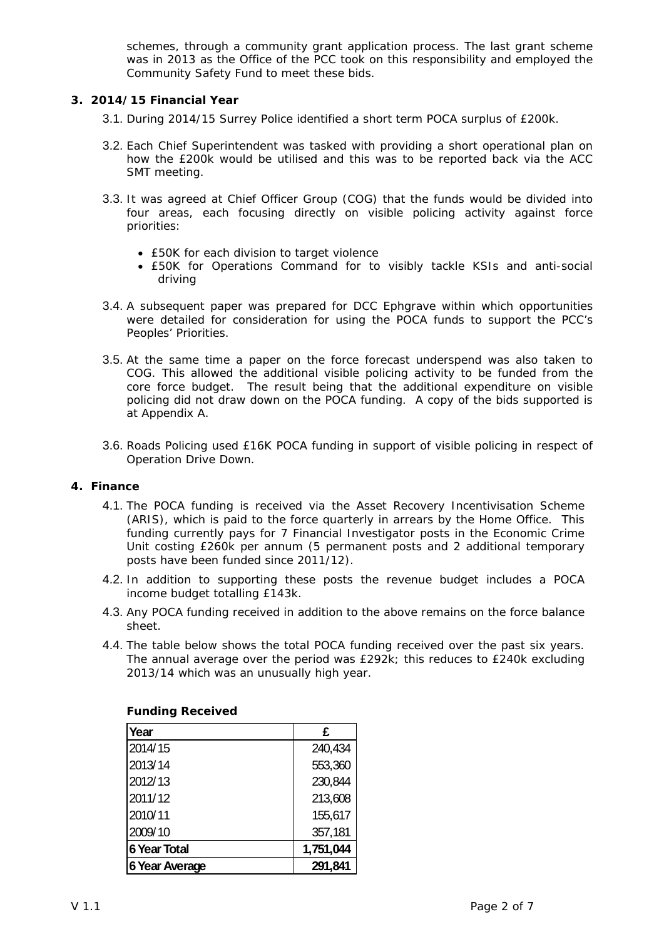schemes, through a community grant application process. The last grant scheme was in 2013 as the Office of the PCC took on this responsibility and employed the Community Safety Fund to meet these bids.

## **3. 2014/15 Financial Year**

- 3.1. During 2014/15 Surrey Police identified a short term POCA surplus of £200k.
- 3.2. Each Chief Superintendent was tasked with providing a short operational plan on how the £200k would be utilised and this was to be reported back via the ACC SMT meeting.
- 3.3. It was agreed at Chief Officer Group (COG) that the funds would be divided into four areas, each focusing directly on visible policing activity against force priorities:
	- £50K for each division to target violence
	- £50K for Operations Command for to visibly tackle KSIs and anti-social driving
- 3.4. A subsequent paper was prepared for DCC Ephgrave within which opportunities were detailed for consideration for using the POCA funds to support the PCC's Peoples' Priorities.
- 3.5. At the same time a paper on the force forecast underspend was also taken to COG. This allowed the additional visible policing activity to be funded from the core force budget. The result being that the additional expenditure on visible policing did not draw down on the POCA funding. A copy of the bids supported is at Appendix A.
- 3.6. Roads Policing used £16K POCA funding in support of visible policing in respect of Operation Drive Down.

## **4. Finance**

- 4.1. The POCA funding is received via the Asset Recovery Incentivisation Scheme (ARIS), which is paid to the force quarterly in arrears by the Home Office. This funding currently pays for 7 Financial Investigator posts in the Economic Crime Unit costing £260k per annum (5 permanent posts and 2 additional temporary posts have been funded since 2011/12).
- 4.2. In addition to supporting these posts the revenue budget includes a POCA income budget totalling £143k.
- 4.3. Any POCA funding received in addition to the above remains on the force balance sheet.
- 4.4. The table below shows the total POCA funding received over the past six years. The annual average over the period was £292k; this reduces to £240k excluding 2013/14 which was an unusually high year.

| Year                  | £         |
|-----------------------|-----------|
| 2014/15               | 240,434   |
| 2013/14               | 553,360   |
| 2012/13               | 230,844   |
| 2011/12               | 213,608   |
| 2010/11               | 155,617   |
| 2009/10               | 357,181   |
| <b>6 Year Total</b>   | 1,751,044 |
| <b>6 Year Average</b> | 291,841   |

#### **Funding Received**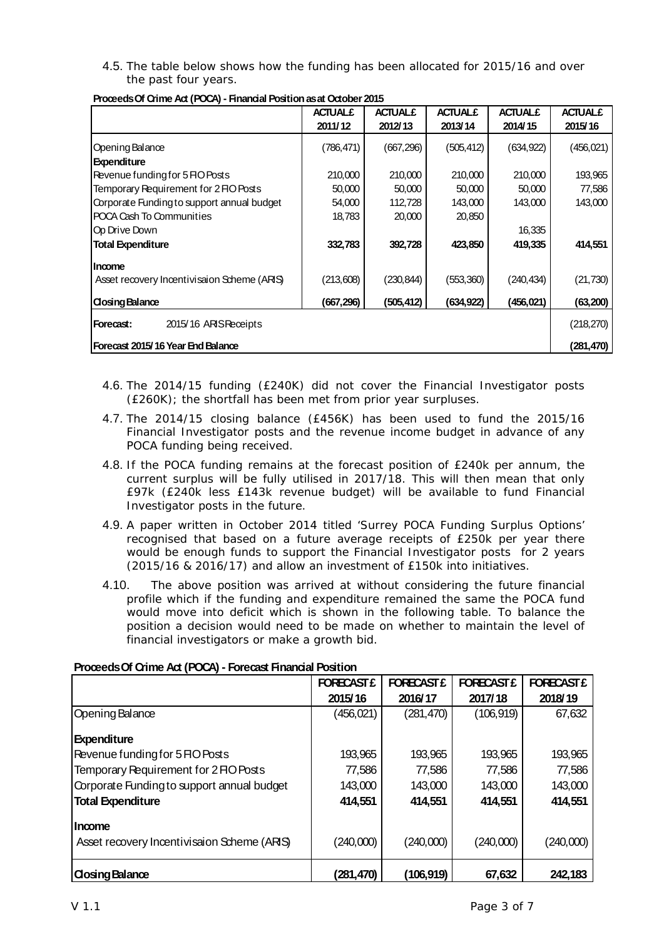4.5. The table below shows how the funding has been allocated for 2015/16 and over the past four years.

|                                             | <b>ACTUAL£</b> | <b>ACTUAL£</b> | <b>ACTUAL£</b> | <b>ACTUAL£</b> | <b>ACTUAL£</b> |
|---------------------------------------------|----------------|----------------|----------------|----------------|----------------|
|                                             | 2011/12        | 2012/13        | 2013/14        | 2014/15        | 2015/16        |
| Opening Balance                             | (786, 471)     | (667, 296)     | (505, 412)     | (634, 922)     | (456, 021)     |
| <b>Expenditure</b>                          |                |                |                |                |                |
| Revenue funding for 5 FIO Posts             | 210,000        | 210,000        | 210,000        | 210,000        | 193,965        |
| Temporary Requirement for 2 FIO Posts       | 50,000         | 50,000         | 50,000         | 50,000         | 77,586         |
| Corporate Funding to support annual budget  | 54,000         | 112,728        | 143,000        | 143,000        | 143,000        |
| POCA Cash To Communities                    | 18,783         | 20,000         | 20,850         |                |                |
| <b>IO</b> p Drive Down                      |                |                |                | 16,335         |                |
| <b>Total Expenditure</b>                    | 332,783        | 392,728        | 423,850        | 419,335        | 414,551        |
| lincome                                     |                |                |                |                |                |
| Asset recovery Incentivisaion Scheme (ARIS) | (213, 608)     | (230, 844)     | (553,360)      | (240, 434)     | (21, 730)      |
| <b>Closing Balance</b>                      | (667, 296)     | (505, 412)     | (634, 922)     | (456, 021)     | (63, 200)      |
| 2015/16 ARISReceipts<br>Forecast:           |                |                |                |                | (218, 270)     |
| Forecast 2015/16 Year End Balance           |                |                |                |                | (281,470)      |

**Proceeds Of Crime Act (POCA) - Financial Position as at October 2015**

- 4.6. The 2014/15 funding (£240K) did not cover the Financial Investigator posts (£260K); the shortfall has been met from prior year surpluses.
- 4.7. The 2014/15 closing balance (£456K) has been used to fund the 2015/16 Financial Investigator posts and the revenue income budget in advance of any POCA funding being received.
- 4.8. If the POCA funding remains at the forecast position of £240k per annum, the current surplus will be fully utilised in 2017/18. This will then mean that only £97k (£240k less £143k revenue budget) will be available to fund Financial Investigator posts in the future.
- 4.9. A paper written in October 2014 titled 'Surrey POCA Funding Surplus Options' recognised that based on a future average receipts of £250k per year there would be enough funds to support the Financial Investigator posts for 2 years (2015/16 & 2016/17) and allow an investment of £150k into initiatives.
- 4.10. The above position was arrived at without considering the future financial profile which if the funding and expenditure remained the same the POCA fund would move into deficit which is shown in the following table. To balance the position a decision would need to be made on whether to maintain the level of financial investigators or make a growth bid.

|                                             | <b>FORECAST £</b> | <b>FORECAST £</b> | <b>FORECAST £</b> | <b>FORECAST £</b> |
|---------------------------------------------|-------------------|-------------------|-------------------|-------------------|
|                                             | 2015/16           | 2016/17           | 2017/18           | 2018/19           |
| Opening Balance                             | (456, 021)        | (281, 470)        | (106, 919)        | 67,632            |
| <b>Expenditure</b>                          |                   |                   |                   |                   |
| Revenue funding for 5 FIO Posts             | 193,965           | 193,965           | 193,965           | 193,965           |
| Temporary Requirement for 2 FIO Posts       | 77,586            | 77,586            | 77,586            | 77,586            |
| Corporate Funding to support annual budget  | 143,000           | 143,000           | 143,000           | 143,000           |
| <b>Total Expenditure</b>                    | 414,551           | 414,551           | 414,551           | 414,551           |
| <b>Income</b>                               |                   |                   |                   |                   |
| Asset recovery Incentivisaion Scheme (ARIS) | (240,000)         | (240,000)         | (240,000)         | (240,000)         |
| <b>Closing Balance</b>                      | (281, 470)        | (106,919)         | 67,632            | 242,183           |

#### **Proceeds Of Crime Act (POCA) - Forecast Financial Position**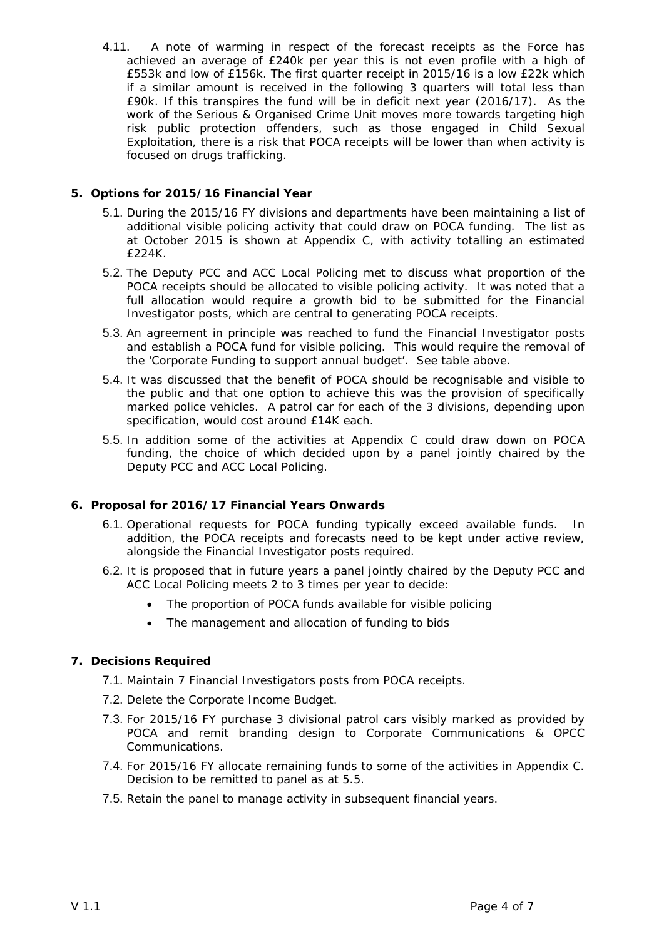4.11. A note of warming in respect of the forecast receipts as the Force has achieved an average of £240k per year this is not even profile with a high of £553k and low of £156k. The first quarter receipt in 2015/16 is a low £22k which if a similar amount is received in the following 3 quarters will total less than £90k. If this transpires the fund will be in deficit next year (2016/17). As the work of the Serious & Organised Crime Unit moves more towards targeting high risk public protection offenders, such as those engaged in Child Sexual Exploitation, there is a risk that POCA receipts will be lower than when activity is focused on drugs trafficking.

## **5. Options for 2015/16 Financial Year**

- 5.1. During the 2015/16 FY divisions and departments have been maintaining a list of additional visible policing activity that could draw on POCA funding. The list as at October 2015 is shown at Appendix C, with activity totalling an estimated £224K.
- 5.2. The Deputy PCC and ACC Local Policing met to discuss what proportion of the POCA receipts should be allocated to visible policing activity. It was noted that a full allocation would require a growth bid to be submitted for the Financial Investigator posts, which are central to generating POCA receipts.
- 5.3. An agreement in principle was reached to fund the Financial Investigator posts and establish a POCA fund for visible policing. This would require the removal of the 'Corporate Funding to support annual budget'. See table above.
- 5.4. It was discussed that the benefit of POCA should be recognisable and visible to the public and that one option to achieve this was the provision of specifically marked police vehicles. A patrol car for each of the 3 divisions, depending upon specification, would cost around £14K each.
- 5.5. In addition some of the activities at Appendix C could draw down on POCA funding, the choice of which decided upon by a panel jointly chaired by the Deputy PCC and ACC Local Policing.

## **6. Proposal for 2016/17 Financial Years Onwards**

- 6.1. Operational requests for POCA funding typically exceed available funds. In addition, the POCA receipts and forecasts need to be kept under active review, alongside the Financial Investigator posts required.
- 6.2. It is proposed that in future years a panel jointly chaired by the Deputy PCC and ACC Local Policing meets 2 to 3 times per year to decide:
	- The proportion of POCA funds available for visible policing
	- The management and allocation of funding to bids

## **7. Decisions Required**

- 7.1. Maintain 7 Financial Investigators posts from POCA receipts.
- 7.2. Delete the Corporate Income Budget.
- 7.3. For 2015/16 FY purchase 3 divisional patrol cars visibly marked as provided by POCA and remit branding design to Corporate Communications & OPCC Communications.
- 7.4. For 2015/16 FY allocate remaining funds to some of the activities in Appendix C. Decision to be remitted to panel as at 5.5.
- 7.5. Retain the panel to manage activity in subsequent financial years.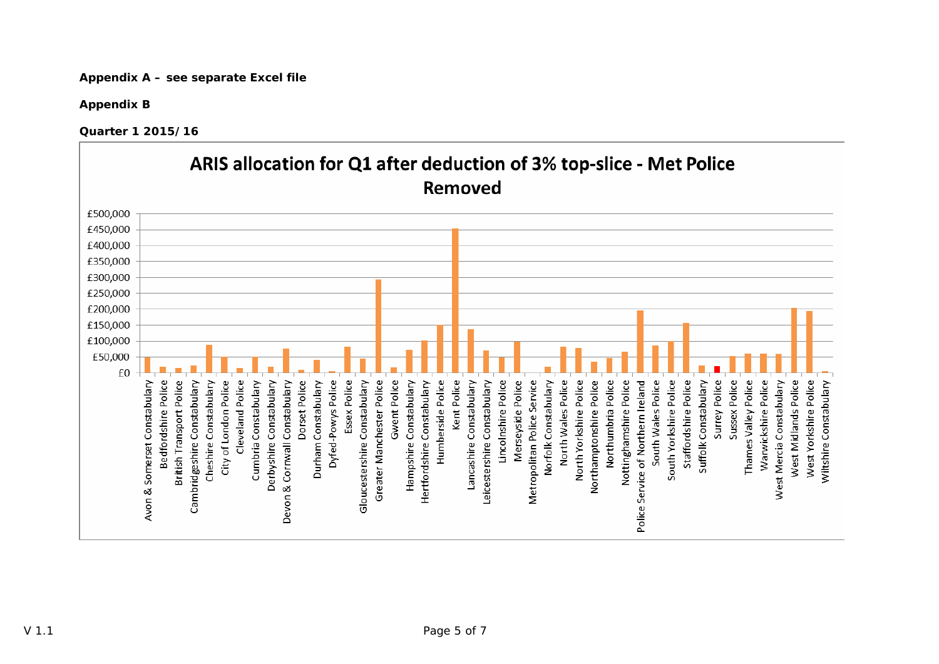**Appendix A – see separate Excel file** 

**Appendix B** 

**Quarter 1 2015/16** 

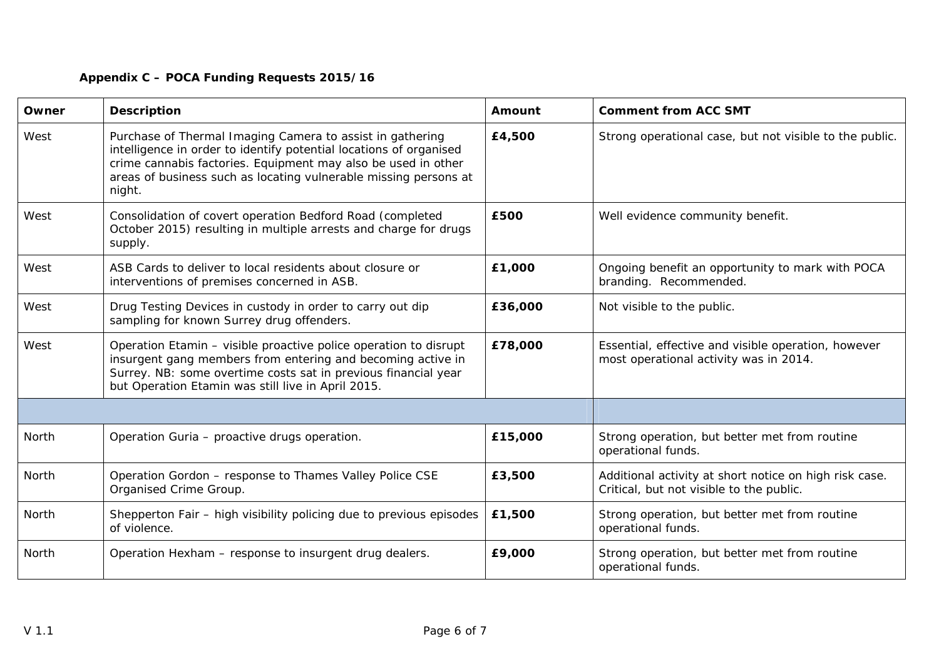# **Appendix C – POCA Funding Requests 2015/16**

| Owner | <b>Description</b>                                                                                                                                                                                                                                                             | Amount  | <b>Comment from ACC SMT</b>                                                                        |
|-------|--------------------------------------------------------------------------------------------------------------------------------------------------------------------------------------------------------------------------------------------------------------------------------|---------|----------------------------------------------------------------------------------------------------|
| West  | Purchase of Thermal Imaging Camera to assist in gathering<br>intelligence in order to identify potential locations of organised<br>crime cannabis factories. Equipment may also be used in other<br>areas of business such as locating vulnerable missing persons at<br>night. | £4,500  | Strong operational case, but not visible to the public.                                            |
| West  | Consolidation of covert operation Bedford Road (completed<br>October 2015) resulting in multiple arrests and charge for drugs<br>supply.                                                                                                                                       | £500    | Well evidence community benefit.                                                                   |
| West  | ASB Cards to deliver to local residents about closure or<br>interventions of premises concerned in ASB.                                                                                                                                                                        | £1,000  | Ongoing benefit an opportunity to mark with POCA<br>branding. Recommended.                         |
| West  | Drug Testing Devices in custody in order to carry out dip<br>sampling for known Surrey drug offenders.                                                                                                                                                                         | £36,000 | Not visible to the public.                                                                         |
| West  | Operation Etamin - visible proactive police operation to disrupt<br>insurgent gang members from entering and becoming active in<br>Surrey. NB: some overtime costs sat in previous financial year<br>but Operation Etamin was still live in April 2015.                        | £78,000 | Essential, effective and visible operation, however<br>most operational activity was in 2014.      |
|       |                                                                                                                                                                                                                                                                                |         |                                                                                                    |
| North | Operation Guria - proactive drugs operation.                                                                                                                                                                                                                                   | £15,000 | Strong operation, but better met from routine<br>operational funds.                                |
| North | Operation Gordon - response to Thames Valley Police CSE<br>Organised Crime Group.                                                                                                                                                                                              | £3,500  | Additional activity at short notice on high risk case.<br>Critical, but not visible to the public. |
| North | Shepperton Fair - high visibility policing due to previous episodes<br>of violence.                                                                                                                                                                                            | £1,500  | Strong operation, but better met from routine<br>operational funds.                                |
| North | Operation Hexham - response to insurgent drug dealers.                                                                                                                                                                                                                         | £9,000  | Strong operation, but better met from routine<br>operational funds.                                |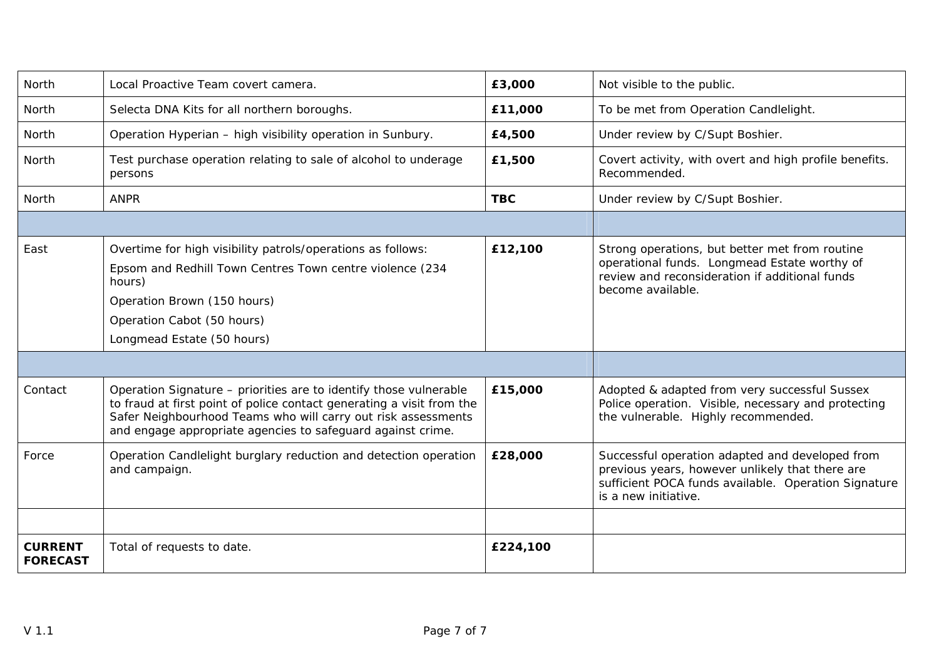| North                             | Local Proactive Team covert camera.                                                                                                                                                                                                                                        | £3,000     | Not visible to the public.                                                                                                                                                         |
|-----------------------------------|----------------------------------------------------------------------------------------------------------------------------------------------------------------------------------------------------------------------------------------------------------------------------|------------|------------------------------------------------------------------------------------------------------------------------------------------------------------------------------------|
| North                             | Selecta DNA Kits for all northern boroughs.                                                                                                                                                                                                                                | £11,000    | To be met from Operation Candlelight.                                                                                                                                              |
| North                             | Operation Hyperian - high visibility operation in Sunbury.                                                                                                                                                                                                                 | £4,500     | Under review by C/Supt Boshier.                                                                                                                                                    |
| North                             | Test purchase operation relating to sale of alcohol to underage<br>persons                                                                                                                                                                                                 | £1,500     | Covert activity, with overt and high profile benefits.<br>Recommended.                                                                                                             |
| North                             | <b>ANPR</b>                                                                                                                                                                                                                                                                | <b>TBC</b> | Under review by C/Supt Boshier.                                                                                                                                                    |
|                                   |                                                                                                                                                                                                                                                                            |            |                                                                                                                                                                                    |
| East                              | Overtime for high visibility patrols/operations as follows:<br>Epsom and Redhill Town Centres Town centre violence (234<br>hours)<br>Operation Brown (150 hours)<br>Operation Cabot (50 hours)<br>Longmead Estate (50 hours)                                               | £12,100    | Strong operations, but better met from routine<br>operational funds. Longmead Estate worthy of<br>review and reconsideration if additional funds<br>become available.              |
|                                   |                                                                                                                                                                                                                                                                            |            |                                                                                                                                                                                    |
| Contact                           | Operation Signature - priorities are to identify those vulnerable<br>to fraud at first point of police contact generating a visit from the<br>Safer Neighbourhood Teams who will carry out risk assessments<br>and engage appropriate agencies to safeguard against crime. | £15,000    | Adopted & adapted from very successful Sussex<br>Police operation. Visible, necessary and protecting<br>the vulnerable. Highly recommended.                                        |
| Force                             | Operation Candlelight burglary reduction and detection operation<br>and campaign.                                                                                                                                                                                          | £28,000    | Successful operation adapted and developed from<br>previous years, however unlikely that there are<br>sufficient POCA funds available. Operation Signature<br>is a new initiative. |
| <b>CURRENT</b><br><b>FORECAST</b> | Total of requests to date.                                                                                                                                                                                                                                                 | £224,100   |                                                                                                                                                                                    |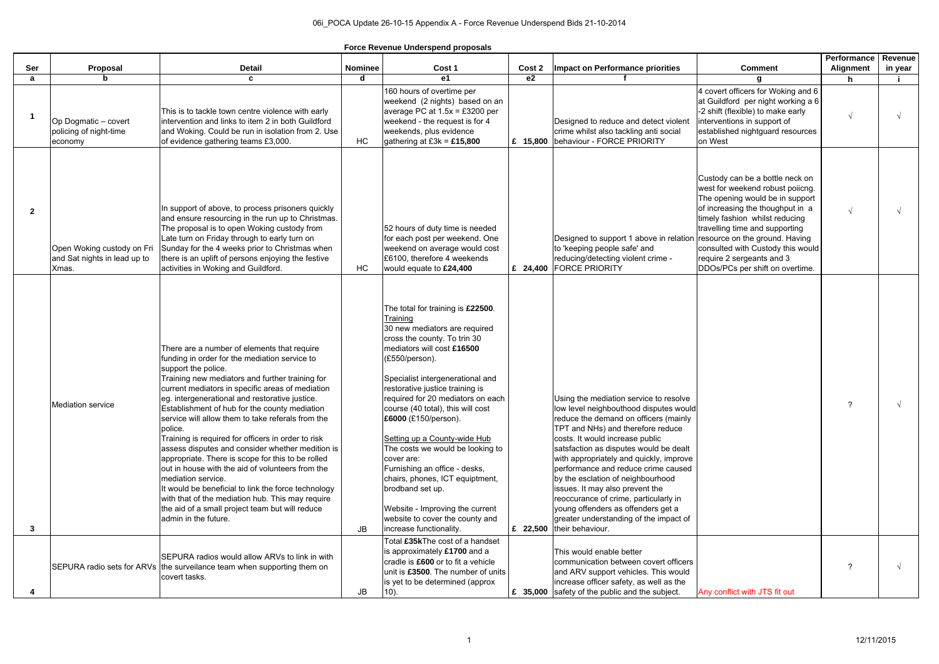| Ser          | Proposal                                                            | <b>Detail</b>                                                                                                                                                                                                                                                                                                                                                                                                                                                                                                                                                                                                                                                                                                                                                                                                                | <b>Nominee</b> | Cost 1                                                                                                                                                                                                                                                                                                                                                                                                                                                                                                                                                                                                             | Cost 2   | <b>Impact on Performance priorities</b>                                                                                                                                                                                                                                                                                                                                                                                                                                                                                                                     | <b>Comment</b>                                                                                                                                                                                                                                                                                                                                        | Performance<br><b>Alignment</b> | <b>Revenue</b><br>in year |
|--------------|---------------------------------------------------------------------|------------------------------------------------------------------------------------------------------------------------------------------------------------------------------------------------------------------------------------------------------------------------------------------------------------------------------------------------------------------------------------------------------------------------------------------------------------------------------------------------------------------------------------------------------------------------------------------------------------------------------------------------------------------------------------------------------------------------------------------------------------------------------------------------------------------------------|----------------|--------------------------------------------------------------------------------------------------------------------------------------------------------------------------------------------------------------------------------------------------------------------------------------------------------------------------------------------------------------------------------------------------------------------------------------------------------------------------------------------------------------------------------------------------------------------------------------------------------------------|----------|-------------------------------------------------------------------------------------------------------------------------------------------------------------------------------------------------------------------------------------------------------------------------------------------------------------------------------------------------------------------------------------------------------------------------------------------------------------------------------------------------------------------------------------------------------------|-------------------------------------------------------------------------------------------------------------------------------------------------------------------------------------------------------------------------------------------------------------------------------------------------------------------------------------------------------|---------------------------------|---------------------------|
| a            | <b>b</b>                                                            | C                                                                                                                                                                                                                                                                                                                                                                                                                                                                                                                                                                                                                                                                                                                                                                                                                            | d              | e1                                                                                                                                                                                                                                                                                                                                                                                                                                                                                                                                                                                                                 | e2       |                                                                                                                                                                                                                                                                                                                                                                                                                                                                                                                                                             |                                                                                                                                                                                                                                                                                                                                                       | h.                              |                           |
|              | Op Dogmatic - covert<br>policing of night-time<br>economy           | This is to tackle town centre violence with early<br>intervention and links to item 2 in both Guildford<br>and Woking. Could be run in isolation from 2. Use<br>of evidence gathering teams £3,000.                                                                                                                                                                                                                                                                                                                                                                                                                                                                                                                                                                                                                          | HC             | 160 hours of overtime per<br>weekend (2 nights) based on an<br>average PC at $1.5x = £3200$ per<br>weekend - the request is for 4<br>weekends, plus evidence<br>gathering at $E3k = £15,800$                                                                                                                                                                                                                                                                                                                                                                                                                       | £ 15,800 | Designed to reduce and detect violent<br>crime whilst also tackling anti social<br>behaviour - FORCE PRIORITY                                                                                                                                                                                                                                                                                                                                                                                                                                               | 4 covert officers for Woking and 6<br>at Guildford per night working a 6<br>-2 shift (flexible) to make early<br>interventions in support of<br>established nightguard resources<br>on West                                                                                                                                                           |                                 |                           |
| $\mathbf{2}$ | Open Woking custody on Fri<br>and Sat nights in lead up to<br>Xmas. | In support of above, to process prisoners quickly<br>and ensure resourcing in the run up to Christmas.<br>The proposal is to open Woking custody from<br>Late turn on Friday through to early turn on<br>Sunday for the 4 weeks prior to Christmas when<br>there is an uplift of persons enjoying the festive<br>activities in Woking and Guildford.                                                                                                                                                                                                                                                                                                                                                                                                                                                                         | HC             | 52 hours of duty time is needed<br>for each post per weekend. One<br>weekend on average would cost<br>£6100, therefore 4 weekends<br>would equate to £24,400                                                                                                                                                                                                                                                                                                                                                                                                                                                       | £ 24,400 | Designed to support 1 above in relation<br>to 'keeping people safe' and<br>reducing/detecting violent crime -<br><b>FORCE PRIORITY</b>                                                                                                                                                                                                                                                                                                                                                                                                                      | Custody can be a bottle neck on<br>west for weekend robust poiicng.<br>The opening would be in support<br>of increasing the thoughput in a<br>timely fashion whilst reducing<br>travelling time and supporting<br>resource on the ground. Having<br>consulted with Custody this would<br>require 2 sergeants and 3<br>DDOs/PCs per shift on overtime. |                                 |                           |
| 3            | <b>Mediation service</b>                                            | There are a number of elements that require<br>funding in order for the mediation service to<br>support the police.<br>Training new mediators and further training for<br>current mediators in specific areas of mediation<br>eg. intergenerational and restorative justice.<br>Establishment of hub for the county mediation<br>service will allow them to take referals from the<br>police.<br>Training is required for officers in order to risk<br>assess disputes and consider whether medition is<br>appropriate. There is scope for this to be rolled<br>out in house with the aid of volunteers from the<br>mediation service.<br>It would be beneficial to link the force technology<br>with that of the mediation hub. This may require<br>the aid of a small project team but will reduce<br>admin in the future. | <b>JB</b>      | The total for training is £22500.<br>Training<br>30 new mediators are required<br>cross the county. To trin 30<br>mediators will cost £16500<br>(£550/person).<br>Specialist intergenerational and<br>restorative justice training is<br>required for 20 mediators on each<br>course (40 total), this will cost<br>£6000 (£150/person).<br>Setting up a County-wide Hub<br>The costs we would be looking to<br>cover are:<br>Furnishing an office - desks,<br>chairs, phones, ICT equiptment,<br>brodband set up.<br>Website - Improving the current<br>website to cover the county and<br>increase functionality. |          | Using the mediation service to resolve<br>low level neighbouthood disputes would<br>reduce the demand on officers (mainly<br>TPT and NHs) and therefore reduce<br>costs. It would increase public<br>satsfaction as disputes would be dealt<br>with appropriately and quickly, improve<br>performance and reduce crime caused<br>by the esclation of neighbourhood<br>issues. It may also prevent the<br>reoccurance of crime, particularly in<br>young offenders as offenders get a<br>greater understanding of the impact of<br>£ 22,500 their behaviour. |                                                                                                                                                                                                                                                                                                                                                       |                                 |                           |
|              |                                                                     | SEPURA radios would allow ARVs to link in with<br>SEPURA radio sets for ARVs the surveilance team when supporting them on<br>covert tasks.                                                                                                                                                                                                                                                                                                                                                                                                                                                                                                                                                                                                                                                                                   | JB             | Total £35kThe cost of a handset<br>is approximately £1700 and a<br>cradle is £600 or to fit a vehicle<br>unit is £3500. The number of units<br>is yet to be determined (approx<br>10).                                                                                                                                                                                                                                                                                                                                                                                                                             |          | This would enable better<br>communication between covert officers<br>and ARV support vehicles. This would<br>increase officer safety, as well as the<br>£ 35,000 safety of the public and the subject.                                                                                                                                                                                                                                                                                                                                                      | Any conflict with JTS fit out                                                                                                                                                                                                                                                                                                                         | 2                               |                           |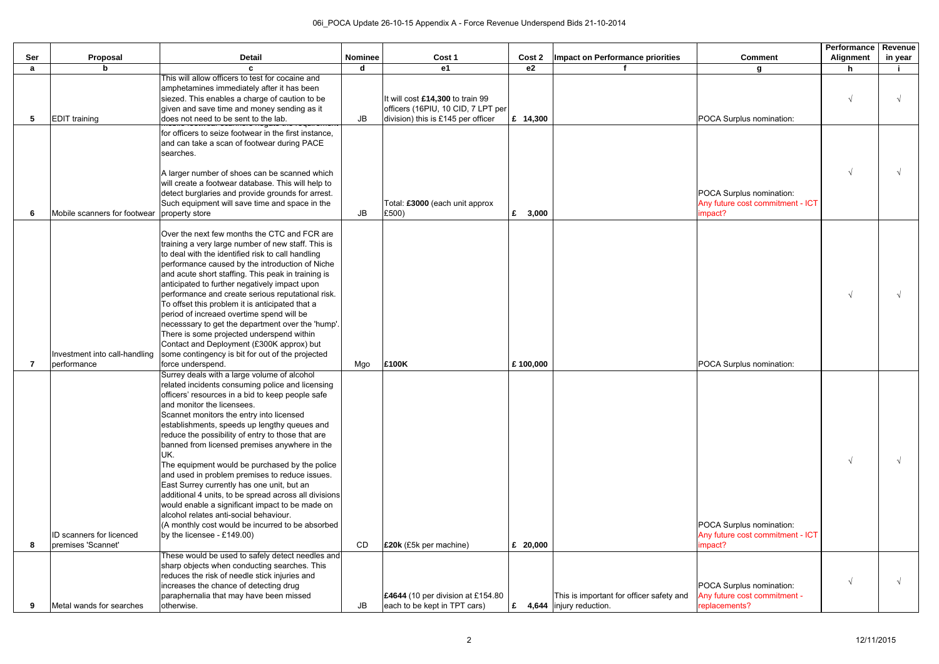|     |                                                       |                                                                                                                                                                                                                                                                                                                                                                                                                                                                                                                                                                                                                                                                                                                                                                                                                                             |                                                      |                                                                          |                |                                                                      |                                                                           | Performance | <b>Revenue</b> |
|-----|-------------------------------------------------------|---------------------------------------------------------------------------------------------------------------------------------------------------------------------------------------------------------------------------------------------------------------------------------------------------------------------------------------------------------------------------------------------------------------------------------------------------------------------------------------------------------------------------------------------------------------------------------------------------------------------------------------------------------------------------------------------------------------------------------------------------------------------------------------------------------------------------------------------|------------------------------------------------------|--------------------------------------------------------------------------|----------------|----------------------------------------------------------------------|---------------------------------------------------------------------------|-------------|----------------|
| Ser | Proposal                                              | <b>Detail</b>                                                                                                                                                                                                                                                                                                                                                                                                                                                                                                                                                                                                                                                                                                                                                                                                                               | <b>Nominee</b>                                       | Cost 1                                                                   | Cost 2         | Impact on Performance priorities                                     | <b>Comment</b>                                                            | Alignment   | in year        |
| а   | b                                                     | This will allow officers to test for cocaine and                                                                                                                                                                                                                                                                                                                                                                                                                                                                                                                                                                                                                                                                                                                                                                                            | d                                                    | e1                                                                       | e <sub>2</sub> |                                                                      | g                                                                         | h           |                |
|     |                                                       | amphetamines immediately after it has been                                                                                                                                                                                                                                                                                                                                                                                                                                                                                                                                                                                                                                                                                                                                                                                                  |                                                      |                                                                          |                |                                                                      |                                                                           |             |                |
|     |                                                       | siezed. This enables a charge of caution to be                                                                                                                                                                                                                                                                                                                                                                                                                                                                                                                                                                                                                                                                                                                                                                                              |                                                      | It will cost £14,300 to train 99                                         |                |                                                                      |                                                                           |             |                |
|     |                                                       | given and save time and money sending as it                                                                                                                                                                                                                                                                                                                                                                                                                                                                                                                                                                                                                                                                                                                                                                                                 |                                                      | officers (16PIU, 10 CID, 7 LPT per                                       |                |                                                                      |                                                                           |             |                |
| 5   | <b>EDIT</b> training                                  | does not need to be sent to the lab.                                                                                                                                                                                                                                                                                                                                                                                                                                                                                                                                                                                                                                                                                                                                                                                                        | $\mathsf{JB}% _{\mathsf{S}}\left( \mathsf{S}\right)$ | division) this is £145 per officer                                       | £ 14,300       |                                                                      | POCA Surplus nomination:                                                  |             |                |
|     |                                                       | for officers to seize footwear in the first instance,<br>and can take a scan of footwear during PACE<br>searches.                                                                                                                                                                                                                                                                                                                                                                                                                                                                                                                                                                                                                                                                                                                           |                                                      |                                                                          |                |                                                                      |                                                                           |             |                |
| 6   | Mobile scanners for footwear property store           | A larger number of shoes can be scanned which<br>will create a footwear database. This will help to<br>detect burglaries and provide grounds for arrest.<br>Such equipment will save time and space in the                                                                                                                                                                                                                                                                                                                                                                                                                                                                                                                                                                                                                                  | JB                                                   | Total: £3000 (each unit approx<br>£500)                                  | £<br>3,000     |                                                                      | POCA Surplus nomination:<br>Any future cost commitment - ICT<br>impact?   |             |                |
|     | Investment into call-handling<br>performance          | Over the next few months the CTC and FCR are<br>training a very large number of new staff. This is<br>to deal with the identified risk to call handling<br>performance caused by the introduction of Niche<br>and acute short staffing. This peak in training is<br>anticipated to further negatively impact upon<br>performance and create serious reputational risk.<br>To offset this problem it is anticipated that a<br>period of increaed overtime spend will be<br>necesssary to get the department over the 'hump'.<br>There is some projected underspend within<br>Contact and Deployment (£300K approx) but<br>some contingency is bit for out of the projected<br>force underspend.                                                                                                                                              | Mgo                                                  | <b>E100K</b>                                                             | £100,000       |                                                                      | POCA Surplus nomination:                                                  |             |                |
| 8   | <b>ID</b> scanners for licenced<br>premises 'Scannet' | Surrey deals with a large volume of alcohol<br>related incidents consuming police and licensing<br>officers' resources in a bid to keep people safe<br>and monitor the licensees.<br>Scannet monitors the entry into licensed<br>establishments, speeds up lengthy queues and<br>reduce the possibility of entry to those that are<br>banned from licensed premises anywhere in the<br>UK.<br>The equipment would be purchased by the police<br>and used in problem premises to reduce issues.<br>East Surrey currently has one unit, but an<br>additional 4 units, to be spread across all divisions<br>would enable a significant impact to be made on<br>alcohol relates anti-social behaviour.<br>(A monthly cost would be incurred to be absorbed<br>by the licensee - $£149.00$ )<br>These would be used to safely detect needles and | CD                                                   | <b>£20k</b> (£5k per machine)                                            | £ $20,000$     |                                                                      | POCA Surplus nomination:<br>Any future cost commitment - ICT<br>impact?   |             |                |
| 9   | Metal wands for searches                              | sharp objects when conducting searches. This<br>reduces the risk of needle stick injuries and<br>increases the chance of detecting drug<br>paraphernalia that may have been missed<br>otherwise.                                                                                                                                                                                                                                                                                                                                                                                                                                                                                                                                                                                                                                            | <b>JB</b>                                            | <b>E4644</b> (10 per division at £154.80<br>each to be kept in TPT cars) | £              | This is important for officer safety and<br>4,644 linjury reduction. | POCA Surplus nomination:<br>Any future cost commitment -<br>replacements? |             |                |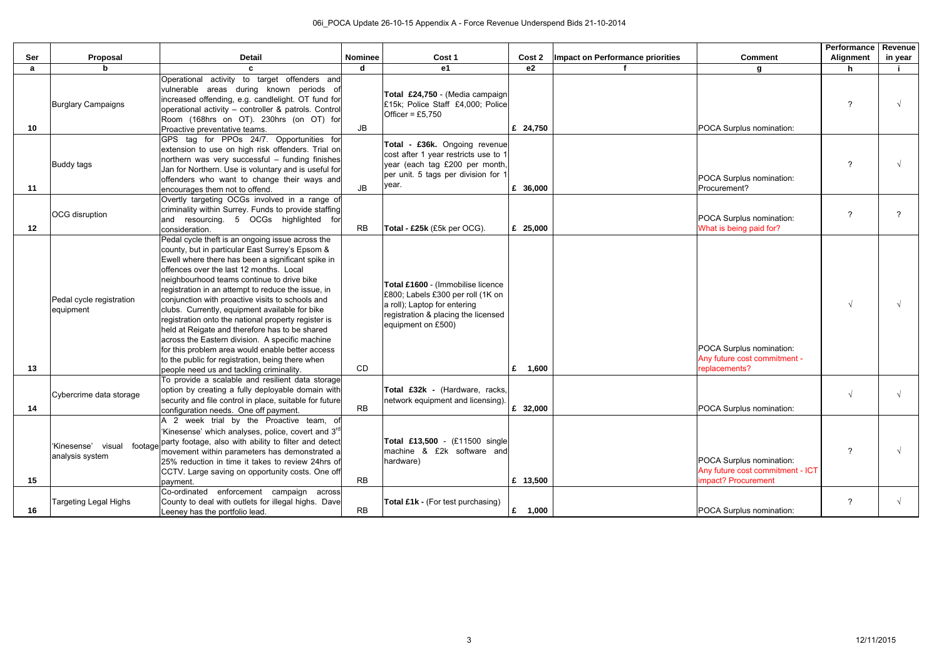| Ser | Proposal                                 | <b>Detail</b>                                                                                                                                                                                                                                                                                                                                                                                                                                                                                                                                                                                                                                                                                                                 | <b>Nominee</b> | Cost 1                                                                                                                                                              | Cost 2           | Impact on Performance priorities | <b>Comment</b>                                                                      | <b>Performance</b><br>Alignment | Revenue<br>in year |
|-----|------------------------------------------|-------------------------------------------------------------------------------------------------------------------------------------------------------------------------------------------------------------------------------------------------------------------------------------------------------------------------------------------------------------------------------------------------------------------------------------------------------------------------------------------------------------------------------------------------------------------------------------------------------------------------------------------------------------------------------------------------------------------------------|----------------|---------------------------------------------------------------------------------------------------------------------------------------------------------------------|------------------|----------------------------------|-------------------------------------------------------------------------------------|---------------------------------|--------------------|
| a   |                                          |                                                                                                                                                                                                                                                                                                                                                                                                                                                                                                                                                                                                                                                                                                                               | d              | <b>e1</b>                                                                                                                                                           | $\overline{e2}$  |                                  | g                                                                                   |                                 |                    |
| 10  | <b>Burglary Campaigns</b>                | Operational activity to target offenders and<br>vulnerable areas during known periods o<br>increased offending, e.g. candlelight. OT fund for<br>operational activity - controller & patrols. Control<br>Room (168hrs on OT). 230hrs (on OT) for<br>Proactive preventative teams.                                                                                                                                                                                                                                                                                                                                                                                                                                             | <b>JB</b>      | Total £24,750 - (Media campaign<br>£15k; Police Staff £4,000; Police<br>Officer = $£5,750$                                                                          | £ 24,750         |                                  | POCA Surplus nomination:                                                            |                                 |                    |
| 11  | <b>Buddy tags</b>                        | GPS tag for PPOs 24/7. Opportunities for<br>extension to use on high risk offenders. Trial on<br>northern was very successful - funding finishes<br>Jan for Northern. Use is voluntary and is useful for<br>offenders who want to change their ways and<br>encourages them not to offend.                                                                                                                                                                                                                                                                                                                                                                                                                                     | JB             | Total - £36k. Ongoing revenue<br>cost after 1 year restricts use to 1<br>year (each tag £200 per month,<br>per unit. 5 tags per division for 1<br>year.             | £ $36,000$       |                                  | POCA Surplus nomination:<br>Procurement?                                            | ◠                               |                    |
| 12  | <b>OCG</b> disruption                    | Overtly targeting OCGs involved in a range of<br>criminality within Surrey. Funds to provide staffing<br>and resourcing. 5 OCGs highlighted for<br>consideration.                                                                                                                                                                                                                                                                                                                                                                                                                                                                                                                                                             | RB             | Total - £25k (£5k per OCG).                                                                                                                                         | £ 25,000         |                                  | POCA Surplus nomination:<br>What is being paid for?                                 | ົ                               |                    |
| 13  | Pedal cycle registration<br>equipment    | Pedal cycle theft is an ongoing issue across the<br>county, but in particular East Surrey's Epsom &<br>Ewell where there has been a significant spike in<br>offences over the last 12 months. Local<br>neighbourhood teams continue to drive bike<br>registration in an attempt to reduce the issue, in<br>conjunction with proactive visits to schools and<br>clubs. Currently, equipment available for bike<br>registration onto the national property register is<br>held at Reigate and therefore has to be shared<br>across the Eastern division. A specific machine<br>for this problem area would enable better access<br>to the public for registration, being there when<br>people need us and tackling criminality. | CD             | Total £1600 - (Immobilise licence<br>£800; Labels £300 per roll (1K on<br>a roll); Laptop for entering<br>registration & placing the licensed<br>equipment on £500) | £ $1,600$        |                                  | POCA Surplus nomination:<br>Any future cost commitment -<br>replacements?           |                                 |                    |
| 14  | Cybercrime data storage                  | To provide a scalable and resilient data storage<br>option by creating a fully deployable domain with<br>security and file control in place, suitable for future<br>configuration needs. One off payment.                                                                                                                                                                                                                                                                                                                                                                                                                                                                                                                     | RB             | Total £32k - (Hardware, racks,<br>network equipment and licensing).                                                                                                 | £ $32,000$       |                                  | POCA Surplus nomination:                                                            |                                 |                    |
| 15  | visual<br>'Kinesense'<br>analysis system | A 2 week trial by the Proactive team, of<br>'Kinesense' which analyses, police, covert and 3 <sup>rd</sup><br>footage party footage, also with ability to filter and detect<br>movement within parameters has demonstrated a<br>25% reduction in time it takes to review 24hrs of<br>CCTV. Large saving on opportunity costs. One off<br>payment.                                                                                                                                                                                                                                                                                                                                                                             | RB             | Total £13,500 - (£11500 single<br>machine & £2k software and<br>hardware)                                                                                           | £ 13,500         |                                  | POCA Surplus nomination:<br>Any future cost commitment - ICT<br>impact? Procurement | -2                              |                    |
| 16  | <b>Targeting Legal Highs</b>             | Co-ordinated enforcement campaign<br>across<br>County to deal with outlets for illegal highs. Dave<br>Leeney has the portfolio lead.                                                                                                                                                                                                                                                                                                                                                                                                                                                                                                                                                                                          | RB             | Total £1k - (For test purchasing)                                                                                                                                   | $\epsilon$ 1,000 |                                  | POCA Surplus nomination:                                                            | ာ                               |                    |